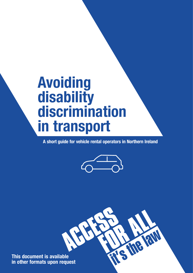# **Avoiding disability discrimination in transport**

**A short guide for vehicle rental operators in Northern Ireland**



RN

**This document is available in other formats upon request**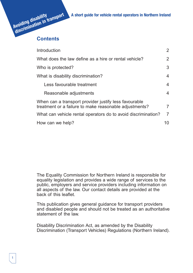**Avoiding disability discrimination in transport A short guide for vehicle rental operators in Northern Ireland**

# **Contents**

| Introduction                                                                                                    | $\overline{2}$ |
|-----------------------------------------------------------------------------------------------------------------|----------------|
| What does the law define as a hire or rental vehicle?                                                           |                |
| Who is protected?                                                                                               | 3              |
| What is disability discrimination?                                                                              | $\overline{4}$ |
| Less favourable treatment                                                                                       | 4              |
| Reasonable adjustments                                                                                          | $\overline{4}$ |
| When can a transport provider justify less favourable<br>treatment or a failure to make reasonable adjustments? |                |
| What can vehicle rental operators do to avoid discrimination?                                                   | $\overline{7}$ |
| How can we help?                                                                                                | 10             |

The Equality Commission for Northern Ireland is responsible for equality legislation and provides a wide range of services to the public, employers and service providers including information on all aspects of the law. Our contact details are provided at the back of this leaflet.

This publication gives general guidance for transport providers and disabled people and should not be treated as an authoritative statement of the law.

Disability Discrimination Act, as amended by the Disability Discrimination (Transport Vehicles) Regulations (Northern Ireland).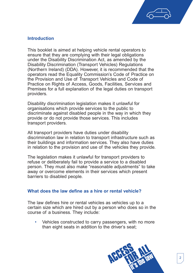

# **Introduction**

This booklet is aimed at helping vehicle rental operators to ensure that they are complying with their legal obligations under the Disability Discrimination Act, as amended by the Disability Discrimination (Transport Vehicles) Regulations (Northern Ireland) (DDA). However, it is recommended that the operators read the Equality Commission's Code of Practice on the Provision and Use of Transport Vehicles and Code of Practice on Rights of Access, Goods, Facilities, Services and Premises for a full explanation of the legal duties on transport providers.

Disability discrimination legislation makes it unlawful for organisations which provide services to the public to discriminate against disabled people in the way in which they provide or do not provide those services. This includes transport providers.

All transport providers have duties under disability discrimination law in relation to transport infrastructure such as their buildings and information services. They also have duties in relation to the provision and use of the vehicles they provide.

The legislation makes it unlawful for transport providers to refuse or deliberately fail to provide a service to a disabled person. They must also make "reasonable adjustments" to take away or overcome elements in their services which present barriers to disabled people.

# **What does the law define as a hire or rental vehicle?**

The law defines hire or rental vehicles as vehicles up to a certain size which are hired out by a person who does so in the course of a business. They include:

• Vehicles constructed to carry passengers, with no more than eight seats in addition to the driver's seat;

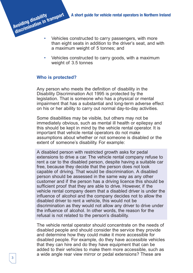- Vehicles constructed to carry passengers, with more than eight seats in addition to the driver's seat, and with a maximum weight of 5 tonnes; and
- Vehicles constructed to carry goods, with a maximum weight of 3.5 tonnes

# **Who is protected?**

**Avoiding disability**

Any person who meets the definition of disability in the Disability Discrimination Act 1995 is protected by the legislation. That is someone who has a physical or mental impairment that has a substantial and long-term adverse effect on his or her ability to carry out normal day-to-day activities.

Some disabilities may be visible, but others may not be immediately obvious, such as mental ill health or epilepsy and this should be kept in mind by the vehicle rental operator. It is important that vehicle rental operators do not make assumptions about whether or not someone is disabled or the extent of someone's disability. For example:

A disabled person with restricted growth asks for pedal extensions to drive a car. The vehicle rental company refuse to rent a car to the disabled person, despite having a suitable car free, because they decide that the person does not look capable of driving. That would be discrimination. A disabled person should be assessed in the same way as any other customer and if the person has a driving licence this should be sufficient proof that they are able to drive. However, if the vehicle rental company deem that a disabled driver is under the influence of alcohol and the company decides not to allow the disabled driver to rent a vehicle, this would not be discrimination as they would not allow any driver to drive under the influence of alcohol. In other words, the reason for the refusal is not related to the person's disability.

The vehicle rental operator should concentrate on the needs of disabled people and should consider the service they provide and determine how they could make it more accessible for disabled people. For example, do they have accessible vehicles that they can hire and do they have equipment that can be added to their vehicles to make them more accessible, such as a wide angle rear view mirror or pedal extensions? These are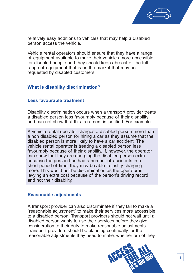

relatively easy additions to vehicles that may help a disabled person access the vehicle.

Vehicle rental operators should ensure that they have a range of equipment available to make their vehicles more accessible for disabled people and they should keep abreast of the full range of equipment that is on the market that may be requested by disabled customers.

# **What is disability discrimination?**

# **Less favourable treatment**

Disability discrimination occurs when a transport provider treats a disabled person less favourably because of their disability and can not show that this treatment is justified. For example:

A vehicle rental operator charges a disabled person more than a non disabled person for hiring a car as they assume that the disabled person is more likely to have a car accident. The vehicle rental operator is treating a disabled person less favourably because of their disability. If, however, the operator can show that they are charging the disabled person extra because the person has had a number of accidents in a short period of time, they may be able to justify charging more. This would not be discrimination as the operator is levying an extra cost because of the person's driving record and not their disability.

# **Reasonable adjustments**

A transport provider can also discriminate if they fail to make a "reasonable adjustment" to make their services more accessible to a disabled person. Transport providers should not wait until a disabled person wants to use their services before they give consideration to their duty to make reasonable adjustments. Transport providers should be planning continually for the reasonable adjustments they need to make, whether or not they

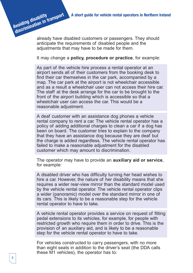already have disabled customers or passengers. They should anticipate the requirements of disabled people and the adjustments that may have to be made for them.

It may change a **policy, procedure or practice**, for example:

As part of the vehicle hire process a rental operator at an airport sends all of their customers from the booking desk to find their car themselves in the car park, accompanied by a map. The car park at the airport is not wheelchair accessible and as a result a wheelchair user can not access their hire car. The staff at the desk arrange for the car to be brought to the front of the airport building which is accessible so that a wheelchair user can access the car. This would be a reasonable adjustment.

A deaf customer with an assistance dog phones a vehicle rental company to rent a car. The vehicle rental operator has a policy of adding additional charges to clean a car if a dog has been on board. The customer tries to explain to the company that they have an assistance dog because they are deaf but the charge is added regardless. The vehicle rental operator has failed to make a reasonable adjustment for the disabled customer which may amount to discrimination.

The operator may have to provide an **auxiliary aid or service**, for example:

A disabled driver who has difficulty turning her head wishes to hire a car. However, the nature of her disability means that she requires a wider rear-view mirror than the standard model used by the vehicle rental operator. The vehicle rental operator clips a wider (panoramic) model over the standard mirror in one of its cars. This is likely to be a reasonable step for the vehicle rental operator to have to take.

A vehicle rental operator provides a service on request of fitting pedal extensions to its vehicles, for example, for people with restricted growth who require them in order to drive. This is the provision of an auxiliary aid, and is likely to be a reasonable step for the vehicle rental operator to have to take.

For vehicles constructed to carry passengers, with no more than eight seats in addition to the driver's seat (the DDA calls these M1 vehicles), the operator has to:

**Avoiding disability**

**discrimination in transport**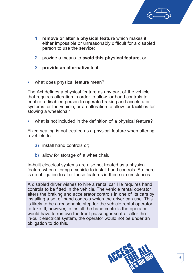

- 1. **remove or alter a physical feature** which makes it either impossible or unreasonably difficult for a disabled person to use the service;
- 2. provide a means to **avoid this physical feature**, or;
- 3. **provide an alternative** to it.
- what does physical feature mean?

The Act defines a physical feature as any part of the vehicle that requires alteration in order to allow for hand controls to enable a disabled person to operate braking and accelerator systems for the vehicle; or an alteration to allow for facilities for stowing a wheelchair.

what is not included in the definition of a physical feature?

Fixed seating is not treated as a physical feature when altering a vehicle to:

- a) install hand controls or;
- b) allow for storage of a wheelchair.

In-built electrical systems are also not treated as a physical feature when altering a vehicle to install hand controls. So there is no obligation to alter these features in these circumstances.

A disabled driver wishes to hire a rental car. He requires hand controls to be fitted in the vehicle. The vehicle rental operator alters the braking and accelerator controls in one of its cars by installing a set of hand controls which the driver can use. This is likely to be a reasonable step for the vehicle rental operator to take. If, however, to install the hand controls the operator would have to remove the front passenger seat or alter the in-built electrical system, the operator would not be under an obligation to do this.

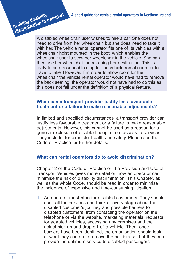A disabled wheelchair user wishes to hire a car. She does not need to drive from her wheelchair, but she does need to take it with her. The vehicle rental operator fits one of its vehicles with a wheelchair hoist mounted in the boot, which enables the wheelchair user to stow her wheelchair in the vehicle. She can then use her wheelchair on reaching her destination. This is likely to be a reasonable step for the vehicle rental operator to have to take. However, if in order to allow room for the wheelchair the vehicle rental operator would have had to remove the back seating, the operator would not have had to do this as this does not fall under the definition of a physical feature.

#### **When can a transport provider justify less favourable treatment or a failure to make reasonable adjustments?**

In limited and specified circumstances, a transport provider can justify less favourable treatment or a failure to make reasonable adjustments. However, this cannot be used as a reason for a general exclusion of disabled people from access to services. They include, for example, health and safety. Please see the Code of Practice for further details.

# **What can rental operators do to avoid discrimination?**

Chapter 2 of the Code of Practice on the Provision and Use of Transport Vehicles gives more detail on how an operator can minimise the risk of disability discrimination. This Chapter, as well as the whole Code, should be read in order to minimise the incidence of expensive and time-consuming litigation.

1. An operator must **plan** for disabled customers. They should audit all the services and think at every stage about the disabled customer's journey and possible barriers to disabled customers, from contacting the operator on the telephone or via the website, marketing materials, requests for adapted vehicles, accessing any premises and the actual pick up and drop off of a vehicle. Then, once barriers have been identified, the organisation should look at what they can do to remove the barriers so that they can provide the optimum service to disabled passengers.

**Avoiding disability**

**discrimination in transport**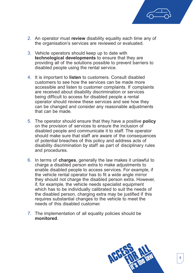

- 2. An operator must **review** disability equality each time any of the organisation's services are reviewed or evaluated.
- 3. Vehicle operators should keep up to date with **technological developments** to ensure that they are providing all of the solutions possible to prevent barriers to disabled people using the rental service.
- 4. It is important to **listen** to customers. Consult disabled customers to see how the services can be made more accessible and listen to customer complaints. If complaints are received about disability discrimination or services being difficult to access for disabled people a rental operator should review these services and see how they can be changed and consider any reasonable adjustments that can be made.
- 5. The operator should ensure that they have a positive **policy** on the provision of services to ensure the inclusion of disabled people and communicate it to staff. The operator should make sure that staff are aware of the consequences of potential breaches of this policy and address acts of disability discrimination by staff as part of disciplinary rules and procedures.
- 6. In terms of **charges**, generally the law makes it unlawful to charge a disabled person extra to make adjustments to enable disabled people to access services. For example, if the vehicle rental operator has to fit a wide angle mirror they should not charge the disabled person extra. However, if, for example, the vehicle needs specialist equipment which has to be individually calibrated to suit the needs of the disabled person, charging extra may be justified if this requires substantial changes to the vehicle to meet the needs of this disabled customer.
- 7. The implementation of all equality policies should be **monitored**.

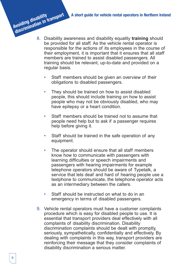- 8. Disability awareness and disability equality **training** should be provided for all staff. As the vehicle rental operator is responsible for the actions of its employees in the course of their employment, it is important that it ensures that all staff members are trained to assist disabled passengers. All training should be relevant, up-to-date and provided on a regular basis. **discrimination in transport** 
	- Staff members should be given an overview of their obligations to disabled passengers.
	- They should be trained on how to assist disabled people, this should include training on how to assist people who may not be obviously disabled, who may have epilepsy or a heart condition.
	- Staff members should be trained not to assume that people need help but to ask if a passenger requires help before giving it.
	- Staff should be trained in the safe operation of any equipment.
	- The operator should ensure that all staff members know how to communicate with passengers with learning difficulties or speech impairments and passengers with hearing impairments for example telephone operators should be aware of Typetalk, a service that lets deaf and hard of hearing people use a textphone to communicate, the telephone operator acts as an intermediary between the callers.
	- Staff should be instructed on what to do in an emergency in terms of disabled passengers.
	- 9. Vehicle rental operators must have a customer complaints procedure which is easy for disabled people to use. It is essential that transport providers deal effectively with all complaints of disability discrimination. Disability discrimination complaints should be dealt with promptly, seriously, sympathetically, confidentially and effectively. By dealing with complaints in this way, transport providers are reinforcing their message that they consider complaints of disability discrimination a serious matter.

**Avoiding disability**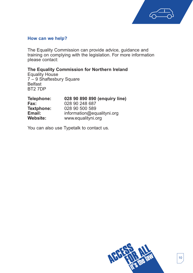

#### **How can we help?**

The Equality Commission can provide advice, guidance and training on complying with the legislation. For more information please contact:

**The Equality Commission for Northern Ireland**

Equality House 7 – 9 Shaftesbury Square Belfast BT2 7DP

| Telephone:        | 028 90 890 890 (enquiry line) |
|-------------------|-------------------------------|
| Fax:              | 028 90 248 687                |
| <b>Textphone:</b> | 028 90 500 589                |
| Email:            | information@equalityni.org    |
| <b>Website:</b>   | www.equalityni.org            |

You can also use Typetalk to contact us.